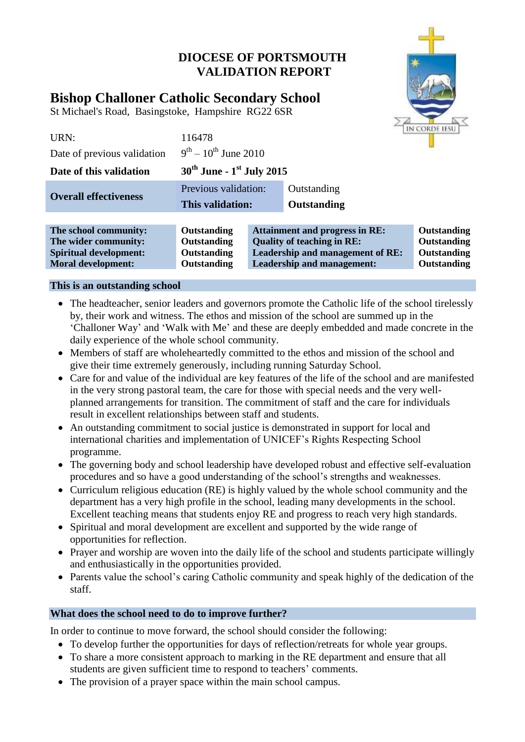## **DIOCESE OF PORTSMOUTH VALIDATION REPORT**



# **Bishop Challoner Catholic Secondary School**

St Michael's Road, Basingstoke, Hampshire RG22 6SR

| URN:                         | 116478                                            |                                   |                                       | IN CORDE IESU |
|------------------------------|---------------------------------------------------|-----------------------------------|---------------------------------------|---------------|
| Date of previous validation  | $9^{th} - 10^{th}$ June 2010                      |                                   |                                       |               |
| Date of this validation      | $30^{\text{th}}$ June - 1 <sup>st</sup> July 2015 |                                   |                                       |               |
| <b>Overall effectiveness</b> | Previous validation:                              |                                   | Outstanding                           |               |
|                              | This validation:                                  |                                   | Outstanding                           |               |
|                              |                                                   |                                   |                                       |               |
| The school community:        | Outstanding                                       |                                   | <b>Attainment and progress in RE:</b> | Outstanding   |
| The wider community:         | Outstanding                                       | <b>Quality of teaching in RE:</b> |                                       | Outstanding   |

**Spiritual development: Outstanding Leadership and management of RE: Outstanding Moral development: Outstanding Leadership and management: Outstanding** 

#### **This is an outstanding school**

- The headteacher, senior leaders and governors promote the Catholic life of the school tirelessly by, their work and witness. The ethos and mission of the school are summed up in the 'Challoner Way' and 'Walk with Me' and these are deeply embedded and made concrete in the daily experience of the whole school community.
- Members of staff are wholeheartedly committed to the ethos and mission of the school and give their time extremely generously, including running Saturday School.
- Care for and value of the individual are key features of the life of the school and are manifested in the very strong pastoral team, the care for those with special needs and the very wellplanned arrangements for transition. The commitment of staff and the care for individuals result in excellent relationships between staff and students.
- An outstanding commitment to social justice is demonstrated in support for local and international charities and implementation of UNICEF's Rights Respecting School programme.
- The governing body and school leadership have developed robust and effective self-evaluation procedures and so have a good understanding of the school's strengths and weaknesses.
- Curriculum religious education (RE) is highly valued by the whole school community and the department has a very high profile in the school, leading many developments in the school. Excellent teaching means that students enjoy RE and progress to reach very high standards.
- Spiritual and moral development are excellent and supported by the wide range of opportunities for reflection.
- Prayer and worship are woven into the daily life of the school and students participate willingly and enthusiastically in the opportunities provided.
- Parents value the school's caring Catholic community and speak highly of the dedication of the staff.

### **What does the school need to do to improve further?**

In order to continue to move forward, the school should consider the following:

- To develop further the opportunities for days of reflection/retreats for whole year groups.
- To share a more consistent approach to marking in the RE department and ensure that all students are given sufficient time to respond to teachers' comments.
- The provision of a prayer space within the main school campus.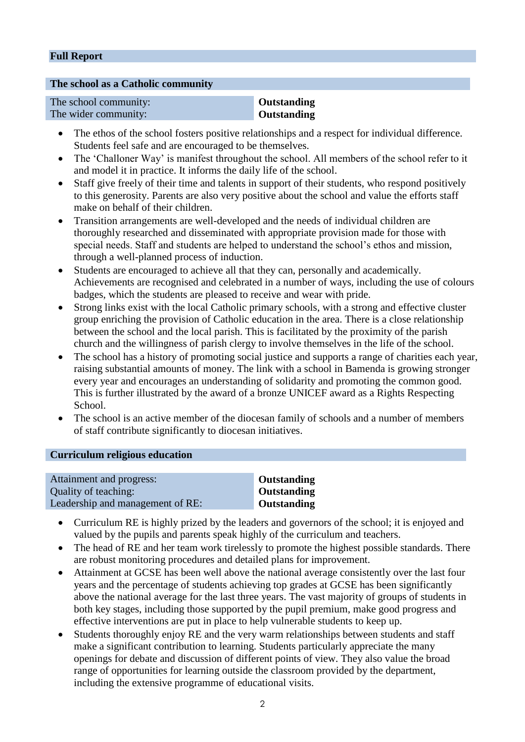#### **Full Report**

#### **The school as a Catholic community**

| The school community: |
|-----------------------|
| The wider community:  |

#### **Outstanding Outstanding**

- The ethos of the school fosters positive relationships and a respect for individual difference. Students feel safe and are encouraged to be themselves.
- The 'Challoner Way' is manifest throughout the school. All members of the school refer to it and model it in practice. It informs the daily life of the school.
- Staff give freely of their time and talents in support of their students, who respond positively to this generosity. Parents are also very positive about the school and value the efforts staff make on behalf of their children.
- Transition arrangements are well-developed and the needs of individual children are thoroughly researched and disseminated with appropriate provision made for those with special needs. Staff and students are helped to understand the school's ethos and mission, through a well-planned process of induction.
- Students are encouraged to achieve all that they can, personally and academically. Achievements are recognised and celebrated in a number of ways, including the use of colours badges, which the students are pleased to receive and wear with pride.
- Strong links exist with the local Catholic primary schools, with a strong and effective cluster group enriching the provision of Catholic education in the area. There is a close relationship between the school and the local parish. This is facilitated by the proximity of the parish church and the willingness of parish clergy to involve themselves in the life of the school.
- The school has a history of promoting social justice and supports a range of charities each year, raising substantial amounts of money. The link with a school in Bamenda is growing stronger every year and encourages an understanding of solidarity and promoting the common good. This is further illustrated by the award of a bronze UNICEF award as a Rights Respecting School.
- The school is an active member of the diocesan family of schools and a number of members of staff contribute significantly to diocesan initiatives.

#### **Curriculum religious education**

| Attainment and progress:         | <b>Outstanding</b> |
|----------------------------------|--------------------|
| Quality of teaching:             | <b>Outstanding</b> |
| Leadership and management of RE: | Outstanding        |

- Curriculum RE is highly prized by the leaders and governors of the school; it is enjoyed and valued by the pupils and parents speak highly of the curriculum and teachers.
- The head of RE and her team work tirelessly to promote the highest possible standards. There are robust monitoring procedures and detailed plans for improvement.
- Attainment at GCSE has been well above the national average consistently over the last four years and the percentage of students achieving top grades at GCSE has been significantly above the national average for the last three years. The vast majority of groups of students in both key stages, including those supported by the pupil premium, make good progress and effective interventions are put in place to help vulnerable students to keep up.
- Students thoroughly enjoy RE and the very warm relationships between students and staff make a significant contribution to learning. Students particularly appreciate the many openings for debate and discussion of different points of view. They also value the broad range of opportunities for learning outside the classroom provided by the department, including the extensive programme of educational visits.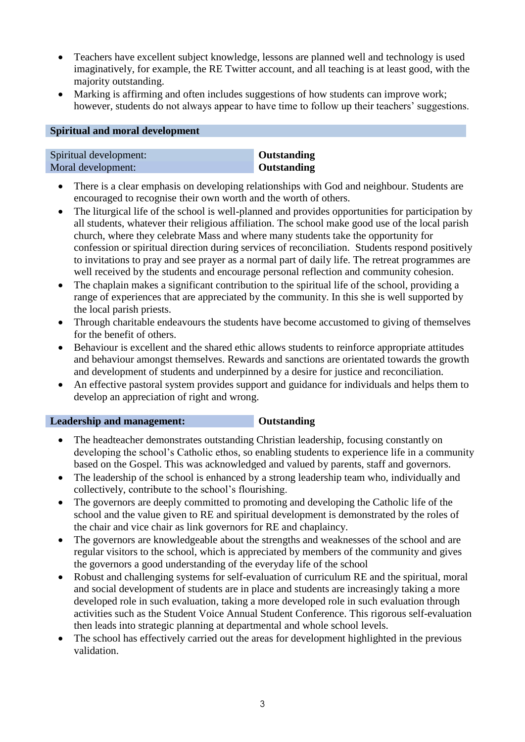- Teachers have excellent subject knowledge, lessons are planned well and technology is used imaginatively, for example, the RE Twitter account, and all teaching is at least good, with the majority outstanding.
- Marking is affirming and often includes suggestions of how students can improve work; however, students do not always appear to have time to follow up their teachers' suggestions.

#### **Spiritual and moral development**

| Spiritual development: | Outstanding |
|------------------------|-------------|
| Moral development:     | Outstanding |

- There is a clear emphasis on developing relationships with God and neighbour. Students are encouraged to recognise their own worth and the worth of others.
- The liturgical life of the school is well-planned and provides opportunities for participation by all students, whatever their religious affiliation. The school make good use of the local parish church, where they celebrate Mass and where many students take the opportunity for confession or spiritual direction during services of reconciliation. Students respond positively to invitations to pray and see prayer as a normal part of daily life. The retreat programmes are well received by the students and encourage personal reflection and community cohesion.
- The chaplain makes a significant contribution to the spiritual life of the school, providing a range of experiences that are appreciated by the community. In this she is well supported by the local parish priests.
- Through charitable endeavours the students have become accustomed to giving of themselves for the benefit of others.
- Behaviour is excellent and the shared ethic allows students to reinforce appropriate attitudes and behaviour amongst themselves. Rewards and sanctions are orientated towards the growth and development of students and underpinned by a desire for justice and reconciliation.
- An effective pastoral system provides support and guidance for individuals and helps them to develop an appreciation of right and wrong.

**Leadership and management: Outstanding** 

- The headteacher demonstrates outstanding Christian leadership, focusing constantly on developing the school's Catholic ethos, so enabling students to experience life in a community based on the Gospel. This was acknowledged and valued by parents, staff and governors.
- The leadership of the school is enhanced by a strong leadership team who, individually and collectively, contribute to the school's flourishing.
- The governors are deeply committed to promoting and developing the Catholic life of the school and the value given to RE and spiritual development is demonstrated by the roles of the chair and vice chair as link governors for RE and chaplaincy.
- The governors are knowledgeable about the strengths and weaknesses of the school and are regular visitors to the school, which is appreciated by members of the community and gives the governors a good understanding of the everyday life of the school
- Robust and challenging systems for self-evaluation of curriculum RE and the spiritual, moral and social development of students are in place and students are increasingly taking a more developed role in such evaluation, taking a more developed role in such evaluation through activities such as the Student Voice Annual Student Conference. This rigorous self-evaluation then leads into strategic planning at departmental and whole school levels.
- The school has effectively carried out the areas for development highlighted in the previous validation.